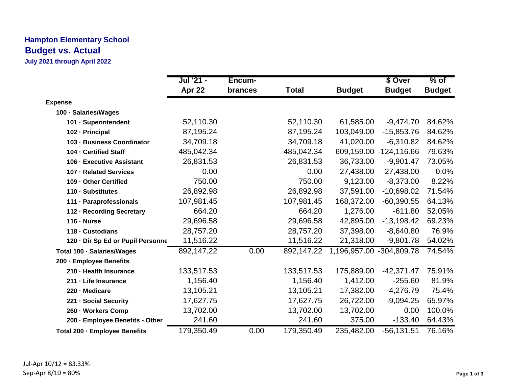## **Hampton Elementary School Budget vs. Actual**

**July 2021 through April 2022**

|                                   | Jul '21 -  | Encum-  |              |                          | \$ Over                | $%$ of        |
|-----------------------------------|------------|---------|--------------|--------------------------|------------------------|---------------|
|                                   | Apr 22     | brances | <b>Total</b> | <b>Budget</b>            | <b>Budget</b>          | <b>Budget</b> |
| <b>Expense</b>                    |            |         |              |                          |                        |               |
| 100 · Salaries/Wages              |            |         |              |                          |                        |               |
| 101 - Superintendent              | 52,110.30  |         | 52,110.30    | 61,585.00                | $-9,474.70$            | 84.62%        |
| 102 - Principal                   | 87,195.24  |         | 87,195.24    | 103,049.00               | $-15,853.76$           | 84.62%        |
| 103 - Business Coordinator        | 34,709.18  |         | 34,709.18    | 41,020.00                | $-6,310.82$            | 84.62%        |
| 104 - Certified Staff             | 485,042.34 |         | 485,042.34   |                          | 609,159.00 -124,116.66 | 79.63%        |
| 106 - Executive Assistant         | 26,831.53  |         | 26,831.53    | 36,733.00                | $-9,901.47$            | 73.05%        |
| 107 - Related Services            | 0.00       |         | 0.00         | 27,438.00                | $-27,438.00$           | 0.0%          |
| 109 - Other Certified             | 750.00     |         | 750.00       | 9,123.00                 | $-8,373.00$            | 8.22%         |
| 110 - Substitutes                 | 26,892.98  |         | 26,892.98    | 37,591.00                | $-10,698.02$           | 71.54%        |
| 111 · Paraprofessionals           | 107,981.45 |         | 107,981.45   | 168,372.00               | $-60,390.55$           | 64.13%        |
| 112 - Recording Secretary         | 664.20     |         | 664.20       | 1,276.00                 | $-611.80$              | 52.05%        |
| $116 - Nurse$                     | 29,696.58  |         | 29,696.58    | 42,895.00                | $-13,198.42$           | 69.23%        |
| 118 - Custodians                  | 28,757.20  |         | 28,757.20    | 37,398.00                | $-8,640.80$            | 76.9%         |
| 120 · Dir Sp Ed or Pupil Personne | 11,516.22  |         | 11,516.22    | 21,318.00                | $-9,801.78$            | 54.02%        |
| Total 100 · Salaries/Wages        | 892,147.22 | 0.00    | 892,147.22   | 1,196,957.00 -304,809.78 |                        | 74.54%        |
| 200 - Employee Benefits           |            |         |              |                          |                        |               |
| 210 - Health Insurance            | 133,517.53 |         | 133,517.53   | 175,889.00               | $-42,371.47$           | 75.91%        |
| 211 - Life Insurance              | 1,156.40   |         | 1,156.40     | 1,412.00                 | $-255.60$              | 81.9%         |
| 220 - Medicare                    | 13,105.21  |         | 13,105.21    | 17,382.00                | $-4,276.79$            | 75.4%         |
| 221 - Social Security             | 17,627.75  |         | 17,627.75    | 26,722.00                | $-9,094.25$            | 65.97%        |
| 260 - Workers Comp                | 13,702.00  |         | 13,702.00    | 13,702.00                | 0.00                   | 100.0%        |
| 200 · Employee Benefits - Other   | 241.60     |         | 241.60       | 375.00                   | $-133.40$              | 64.43%        |
| Total 200 · Employee Benefits     | 179,350.49 | 0.00    | 179,350.49   | 235,482.00               | $-56, 131.51$          | 76.16%        |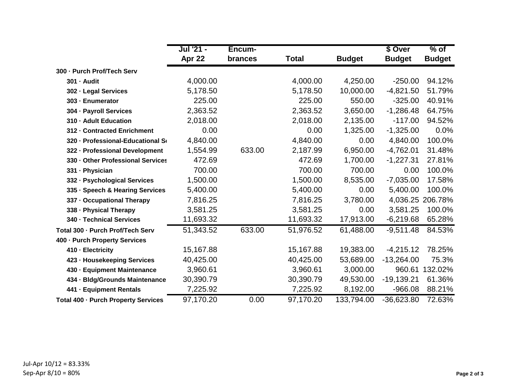|                                     | Jul '21 - | Encum-  |              |               | \$ Over       | $%$ of           |
|-------------------------------------|-----------|---------|--------------|---------------|---------------|------------------|
|                                     | Apr 22    | brances | <b>Total</b> | <b>Budget</b> | <b>Budget</b> | <b>Budget</b>    |
| 300 - Purch Prof/Tech Serv          |           |         |              |               |               |                  |
| 301 - Audit                         | 4,000.00  |         | 4,000.00     | 4,250.00      | $-250.00$     | 94.12%           |
| 302 - Legal Services                | 5,178.50  |         | 5,178.50     | 10,000.00     | $-4,821.50$   | 51.79%           |
| 303 - Enumerator                    | 225.00    |         | 225.00       | 550.00        | $-325.00$     | 40.91%           |
| 304 - Payroll Services              | 2,363.52  |         | 2,363.52     | 3,650.00      | $-1,286.48$   | 64.75%           |
| 310 - Adult Education               | 2,018.00  |         | 2,018.00     | 2,135.00      | $-117.00$     | 94.52%           |
| 312 - Contracted Enrichment         | 0.00      |         | 0.00         | 1,325.00      | $-1,325.00$   | 0.0%             |
| 320 - Professional-Educational So   | 4,840.00  |         | 4,840.00     | 0.00          | 4,840.00      | 100.0%           |
| 322 - Professional Development      | 1,554.99  | 633.00  | 2,187.99     | 6,950.00      | $-4,762.01$   | 31.48%           |
| 330 - Other Professional Services   | 472.69    |         | 472.69       | 1,700.00      | $-1,227.31$   | 27.81%           |
| 331 - Physician                     | 700.00    |         | 700.00       | 700.00        | 0.00          | 100.0%           |
| 332 - Psychological Services        | 1,500.00  |         | 1,500.00     | 8,535.00      | $-7,035.00$   | 17.58%           |
| 335 · Speech & Hearing Services     | 5,400.00  |         | 5,400.00     | 0.00          | 5,400.00      | 100.0%           |
| 337 - Occupational Therapy          | 7,816.25  |         | 7,816.25     | 3,780.00      |               | 4,036.25 206.78% |
| 338 - Physical Therapy              | 3,581.25  |         | 3,581.25     | 0.00          | 3,581.25      | 100.0%           |
| 340 - Technical Services            | 11,693.32 |         | 11,693.32    | 17,913.00     | $-6,219.68$   | 65.28%           |
| Total 300 - Purch Prof/Tech Serv    | 51,343.52 | 633.00  | 51,976.52    | 61,488.00     | $-9,511.48$   | 84.53%           |
| 400 - Purch Property Services       |           |         |              |               |               |                  |
| 410 - Electricity                   | 15,167.88 |         | 15,167.88    | 19,383.00     | $-4,215.12$   | 78.25%           |
| 423 - Housekeeping Services         | 40,425.00 |         | 40,425.00    | 53,689.00     | $-13,264.00$  | 75.3%            |
| 430 - Equipment Maintenance         | 3,960.61  |         | 3,960.61     | 3,000.00      | 960.61        | 132.02%          |
| 434 - Bldg/Grounds Maintenance      | 30,390.79 |         | 30,390.79    | 49,530.00     | $-19,139.21$  | 61.36%           |
| 441 - Equipment Rentals             | 7,225.92  |         | 7,225.92     | 8,192.00      | $-966.08$     | 88.21%           |
| Total 400 - Purch Property Services | 97,170.20 | 0.00    | 97,170.20    | 133,794.00    | $-36,623.80$  | 72.63%           |